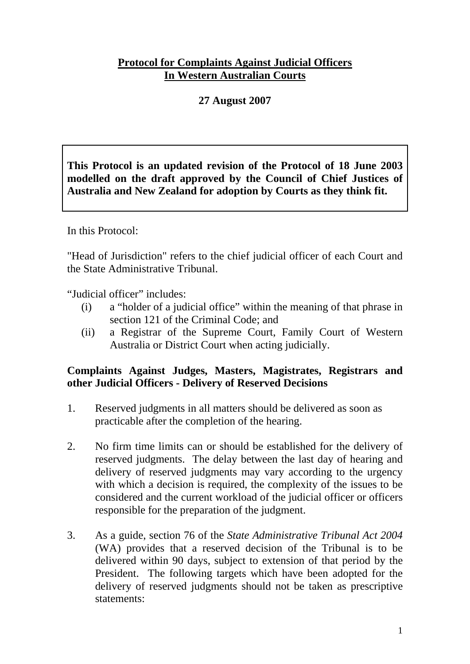## **Protocol for Complaints Against Judicial Officers In Western Australian Courts**

# **27 August 2007**

**This Protocol is an updated revision of the Protocol of 18 June 2003 modelled on the draft approved by the Council of Chief Justices of Australia and New Zealand for adoption by Courts as they think fit.** 

In this Protocol:

"Head of Jurisdiction" refers to the chief judicial officer of each Court and the State Administrative Tribunal.

"Judicial officer" includes:

- (i) a "holder of a judicial office" within the meaning of that phrase in section 121 of the Criminal Code; and
- (ii) a Registrar of the Supreme Court, Family Court of Western Australia or District Court when acting judicially.

### **Complaints Against Judges, Masters, Magistrates, Registrars and other Judicial Officers - Delivery of Reserved Decisions**

- 1. Reserved judgments in all matters should be delivered as soon as practicable after the completion of the hearing.
- 2. No firm time limits can or should be established for the delivery of reserved judgments. The delay between the last day of hearing and delivery of reserved judgments may vary according to the urgency with which a decision is required, the complexity of the issues to be considered and the current workload of the judicial officer or officers responsible for the preparation of the judgment.
- 3. As a guide, section 76 of the *State Administrative Tribunal Act 2004* (WA) provides that a reserved decision of the Tribunal is to be delivered within 90 days, subject to extension of that period by the President. The following targets which have been adopted for the delivery of reserved judgments should not be taken as prescriptive statements: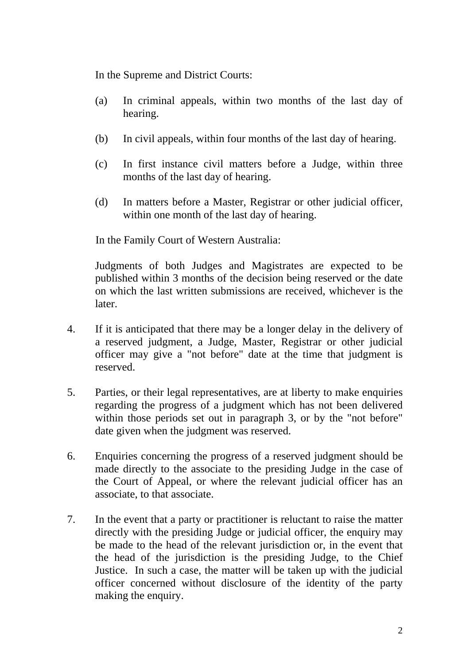In the Supreme and District Courts:

- (a) In criminal appeals, within two months of the last day of hearing.
- (b) In civil appeals, within four months of the last day of hearing.
- (c) In first instance civil matters before a Judge, within three months of the last day of hearing.
- (d) In matters before a Master, Registrar or other judicial officer, within one month of the last day of hearing.

In the Family Court of Western Australia:

 Judgments of both Judges and Magistrates are expected to be published within 3 months of the decision being reserved or the date on which the last written submissions are received, whichever is the later.

- 4. If it is anticipated that there may be a longer delay in the delivery of a reserved judgment, a Judge, Master, Registrar or other judicial officer may give a "not before" date at the time that judgment is reserved.
- 5. Parties, or their legal representatives, are at liberty to make enquiries regarding the progress of a judgment which has not been delivered within those periods set out in paragraph 3, or by the "not before" date given when the judgment was reserved.
- 6. Enquiries concerning the progress of a reserved judgment should be made directly to the associate to the presiding Judge in the case of the Court of Appeal, or where the relevant judicial officer has an associate, to that associate.
- 7. In the event that a party or practitioner is reluctant to raise the matter directly with the presiding Judge or judicial officer, the enquiry may be made to the head of the relevant jurisdiction or, in the event that the head of the jurisdiction is the presiding Judge, to the Chief Justice. In such a case, the matter will be taken up with the judicial officer concerned without disclosure of the identity of the party making the enquiry.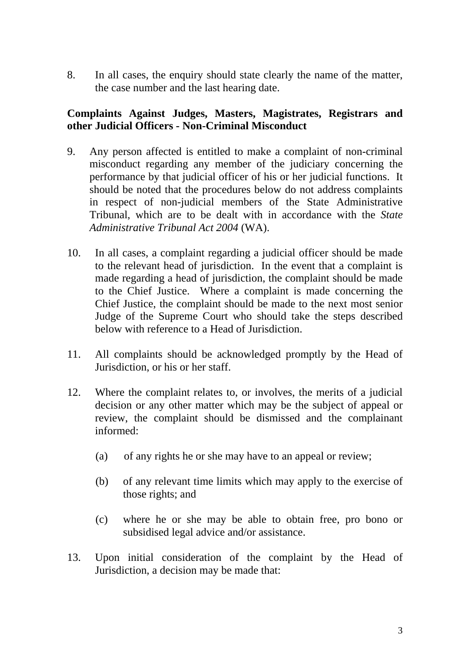8. In all cases, the enquiry should state clearly the name of the matter, the case number and the last hearing date.

### **Complaints Against Judges, Masters, Magistrates, Registrars and other Judicial Officers - Non-Criminal Misconduct**

- 9. Any person affected is entitled to make a complaint of non-criminal misconduct regarding any member of the judiciary concerning the performance by that judicial officer of his or her judicial functions. It should be noted that the procedures below do not address complaints in respect of non-judicial members of the State Administrative Tribunal, which are to be dealt with in accordance with the *State Administrative Tribunal Act 2004* (WA).
- 10. In all cases, a complaint regarding a judicial officer should be made to the relevant head of jurisdiction. In the event that a complaint is made regarding a head of jurisdiction, the complaint should be made to the Chief Justice. Where a complaint is made concerning the Chief Justice, the complaint should be made to the next most senior Judge of the Supreme Court who should take the steps described below with reference to a Head of Jurisdiction.
- 11. All complaints should be acknowledged promptly by the Head of Jurisdiction, or his or her staff.
- 12. Where the complaint relates to, or involves, the merits of a judicial decision or any other matter which may be the subject of appeal or review, the complaint should be dismissed and the complainant informed:
	- (a) of any rights he or she may have to an appeal or review;
	- (b) of any relevant time limits which may apply to the exercise of those rights; and
	- (c) where he or she may be able to obtain free, pro bono or subsidised legal advice and/or assistance.
- 13. Upon initial consideration of the complaint by the Head of Jurisdiction, a decision may be made that: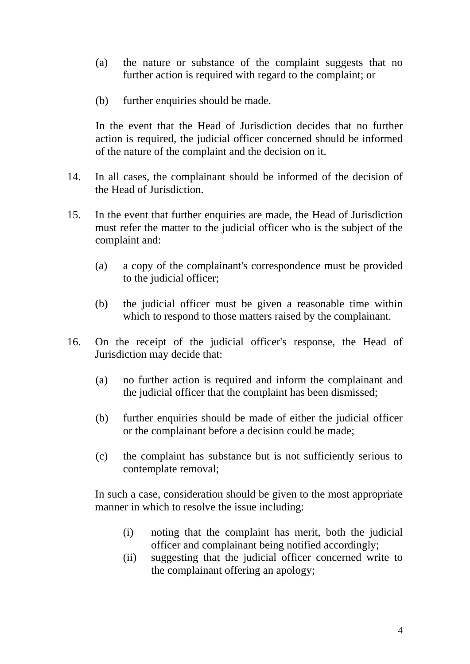- (a) the nature or substance of the complaint suggests that no further action is required with regard to the complaint; or
- (b) further enquiries should be made.

 In the event that the Head of Jurisdiction decides that no further action is required, the judicial officer concerned should be informed of the nature of the complaint and the decision on it.

- 14. In all cases, the complainant should be informed of the decision of the Head of Jurisdiction.
- 15. In the event that further enquiries are made, the Head of Jurisdiction must refer the matter to the judicial officer who is the subject of the complaint and:
	- (a) a copy of the complainant's correspondence must be provided to the judicial officer;
	- (b) the judicial officer must be given a reasonable time within which to respond to those matters raised by the complainant.
- 16. On the receipt of the judicial officer's response, the Head of Jurisdiction may decide that:
	- (a) no further action is required and inform the complainant and the judicial officer that the complaint has been dismissed;
	- (b) further enquiries should be made of either the judicial officer or the complainant before a decision could be made;
	- (c) the complaint has substance but is not sufficiently serious to contemplate removal;

In such a case, consideration should be given to the most appropriate manner in which to resolve the issue including:

- (i) noting that the complaint has merit, both the judicial officer and complainant being notified accordingly;
- (ii) suggesting that the judicial officer concerned write to the complainant offering an apology;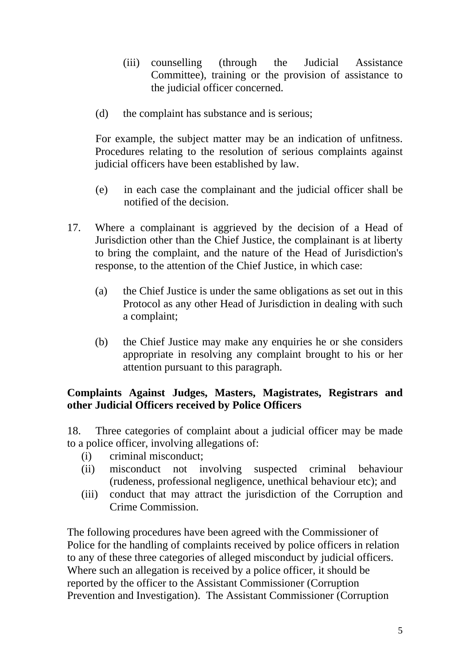- (iii) counselling (through the Judicial Assistance Committee), training or the provision of assistance to the judicial officer concerned.
- (d) the complaint has substance and is serious;

For example, the subject matter may be an indication of unfitness. Procedures relating to the resolution of serious complaints against judicial officers have been established by law.

- (e) in each case the complainant and the judicial officer shall be notified of the decision.
- 17. Where a complainant is aggrieved by the decision of a Head of Jurisdiction other than the Chief Justice, the complainant is at liberty to bring the complaint, and the nature of the Head of Jurisdiction's response, to the attention of the Chief Justice, in which case:
	- (a) the Chief Justice is under the same obligations as set out in this Protocol as any other Head of Jurisdiction in dealing with such a complaint;
	- (b) the Chief Justice may make any enquiries he or she considers appropriate in resolving any complaint brought to his or her attention pursuant to this paragraph.

## **Complaints Against Judges, Masters, Magistrates, Registrars and other Judicial Officers received by Police Officers**

18. Three categories of complaint about a judicial officer may be made to a police officer, involving allegations of:

- (i) criminal misconduct;
- (ii) misconduct not involving suspected criminal behaviour (rudeness, professional negligence, unethical behaviour etc); and
- (iii) conduct that may attract the jurisdiction of the Corruption and Crime Commission.

The following procedures have been agreed with the Commissioner of Police for the handling of complaints received by police officers in relation to any of these three categories of alleged misconduct by judicial officers. Where such an allegation is received by a police officer, it should be reported by the officer to the Assistant Commissioner (Corruption Prevention and Investigation). The Assistant Commissioner (Corruption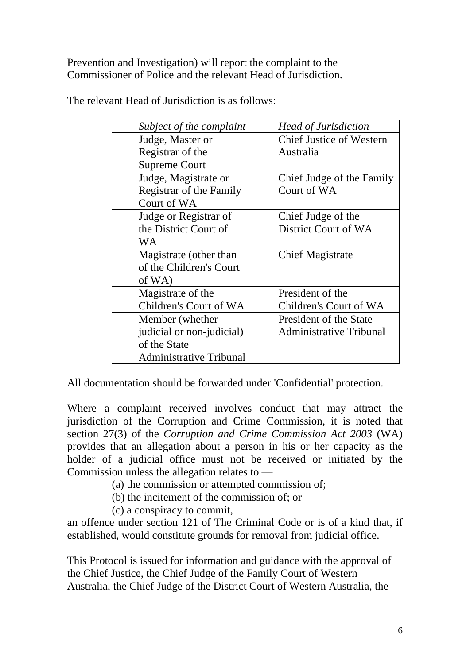Prevention and Investigation) will report the complaint to the Commissioner of Police and the relevant Head of Jurisdiction.

| Subject of the complaint       | <b>Head of Jurisdiction</b>     |
|--------------------------------|---------------------------------|
| Judge, Master or               | <b>Chief Justice of Western</b> |
| Registrar of the               | Australia                       |
| <b>Supreme Court</b>           |                                 |
| Judge, Magistrate or           | Chief Judge of the Family       |
| Registrar of the Family        | Court of WA                     |
| Court of WA                    |                                 |
| Judge or Registrar of          | Chief Judge of the              |
| the District Court of          | District Court of WA            |
| WA                             |                                 |
| Magistrate (other than         | <b>Chief Magistrate</b>         |
| of the Children's Court        |                                 |
| of WA)                         |                                 |
| Magistrate of the              | President of the                |
| Children's Court of WA         | Children's Court of WA          |
| Member (whether                | President of the State          |
| judicial or non-judicial)      | <b>Administrative Tribunal</b>  |
| of the State                   |                                 |
| <b>Administrative Tribunal</b> |                                 |

The relevant Head of Jurisdiction is as follows:

All documentation should be forwarded under 'Confidential' protection.

Where a complaint received involves conduct that may attract the jurisdiction of the Corruption and Crime Commission, it is noted that section 27(3) of the *Corruption and Crime Commission Act 2003* (WA) provides that an allegation about a person in his or her capacity as the holder of a judicial office must not be received or initiated by the Commission unless the allegation relates to —

- (a) the commission or attempted commission of;
- (b) the incitement of the commission of; or
- (c) a conspiracy to commit,

an offence under section 121 of The Criminal Code or is of a kind that, if established, would constitute grounds for removal from judicial office.

This Protocol is issued for information and guidance with the approval of the Chief Justice, the Chief Judge of the Family Court of Western Australia, the Chief Judge of the District Court of Western Australia, the